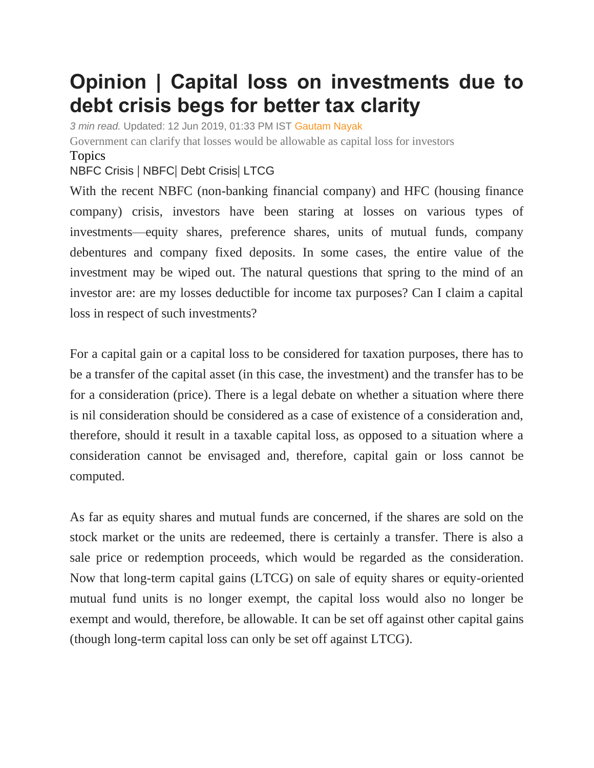## **Opinion | Capital loss on investments due to debt crisis begs for better tax clarity**

*3 min read.* Updated: 12 Jun 2019, 01:33 PM IST [Gautam Nayak](https://www.livemint.com/Search/Link/Author/Gautam%20Nayak)

Government can clarify that losses would be allowable as capital loss for investors Topics

[NBFC](https://www.livemint.com/topic/nbfc-crisis) Crisis | [NBFC](https://www.livemint.com/topic/nbfc)| [Debt Crisis](https://www.livemint.com/topic/debt-crisis)| [LTCG](https://www.livemint.com/topic/ltcg)

With the recent NBFC (non-banking financial company) and HFC (housing finance company) crisis, investors have been staring at losses on various types of investments—equity shares, preference shares, units of mutual funds, company debentures and company fixed deposits. In some cases, the entire value of the investment may be wiped out. The natural questions that spring to the mind of an investor are: are my losses deductible for income tax purposes? Can I claim a capital loss in respect of such investments?

For a capital gain or a capital loss to be considered for taxation purposes, there has to be a transfer of the capital asset (in this case, the investment) and the transfer has to be for a consideration (price). There is a legal debate on whether a situation where there is nil consideration should be considered as a case of existence of a consideration and, therefore, should it result in a taxable capital loss, as opposed to a situation where a consideration cannot be envisaged and, therefore, capital gain or loss cannot be computed.

As far as equity shares and mutual funds are concerned, if the shares are sold on the stock market or the units are redeemed, there is certainly a transfer. There is also a sale price or redemption proceeds, which would be regarded as the consideration. Now that long-term capital gains (LTCG) on sale of equity shares or equity-oriented mutual fund units is no longer exempt, the capital loss would also no longer be exempt and would, therefore, be allowable. It can be set off against other capital gains (though long-term capital loss can only be set off against LTCG).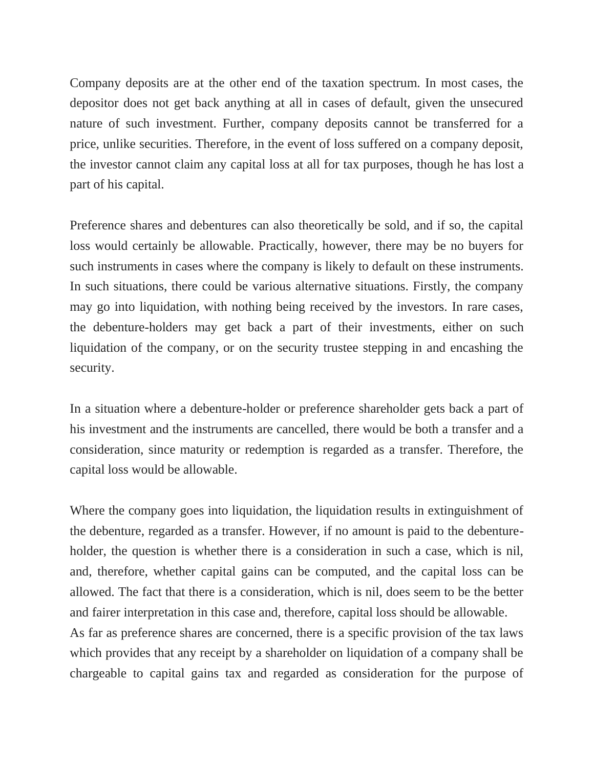Company deposits are at the other end of the taxation spectrum. In most cases, the depositor does not get back anything at all in cases of default, given the unsecured nature of such investment. Further, company deposits cannot be transferred for a price, unlike securities. Therefore, in the event of loss suffered on a company deposit, the investor cannot claim any capital loss at all for tax purposes, though he has lost a part of his capital.

Preference shares and debentures can also theoretically be sold, and if so, the capital loss would certainly be allowable. Practically, however, there may be no buyers for such instruments in cases where the company is likely to default on these instruments. In such situations, there could be various alternative situations. Firstly, the company may go into liquidation, with nothing being received by the investors. In rare cases, the debenture-holders may get back a part of their investments, either on such liquidation of the company, or on the security trustee stepping in and encashing the security.

In a situation where a debenture-holder or preference shareholder gets back a part of his investment and the instruments are cancelled, there would be both a transfer and a consideration, since maturity or redemption is regarded as a transfer. Therefore, the capital loss would be allowable.

Where the company goes into liquidation, the liquidation results in extinguishment of the debenture, regarded as a transfer. However, if no amount is paid to the debentureholder, the question is whether there is a consideration in such a case, which is nil, and, therefore, whether capital gains can be computed, and the capital loss can be allowed. The fact that there is a consideration, which is nil, does seem to be the better and fairer interpretation in this case and, therefore, capital loss should be allowable. As far as preference shares are concerned, there is a specific provision of the tax laws which provides that any receipt by a shareholder on liquidation of a company shall be chargeable to capital gains tax and regarded as consideration for the purpose of